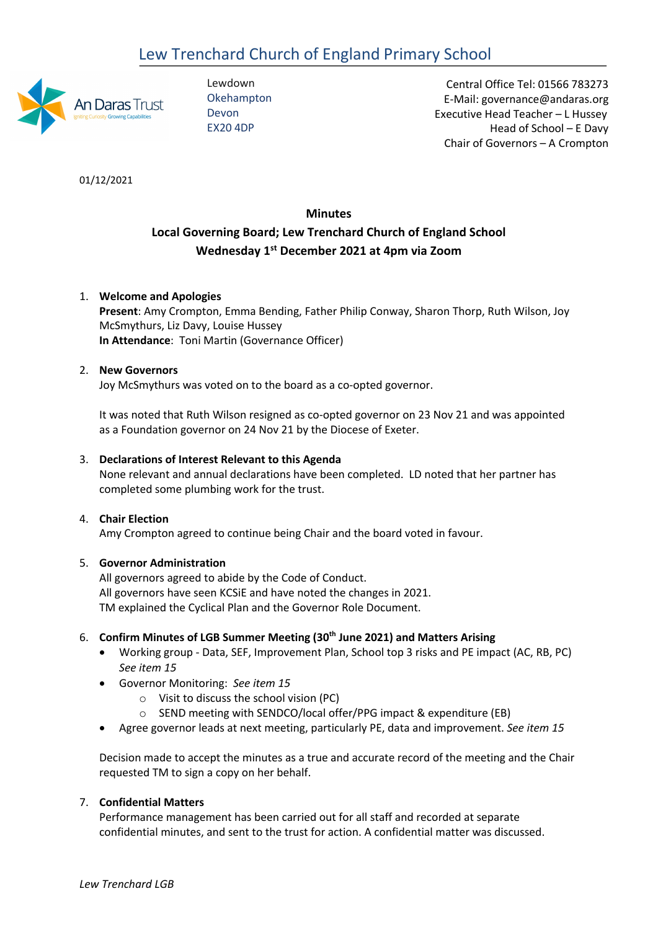# Lew Trenchard Church of England Primary School



Lewdown **Okehampton** Devon EX20 4DP

 Central Office Tel: 01566 783273 E-Mail: governance@andaras.org Executive Head Teacher – L Hussey Head of School – E Davy Chair of Governors – A Crompton

01/12/2021

## **Minutes**

## **Local Governing Board; Lew Trenchard Church of England School Wednesday 1st December 2021 at 4pm via Zoom**

## 1. **Welcome and Apologies**

**Present**: Amy Crompton, Emma Bending, Father Philip Conway, Sharon Thorp, Ruth Wilson, Joy McSmythurs, Liz Davy, Louise Hussey **In Attendance**: Toni Martin (Governance Officer)

## 2. **New Governors**

Joy McSmythurs was voted on to the board as a co-opted governor.

It was noted that Ruth Wilson resigned as co-opted governor on 23 Nov 21 and was appointed as a Foundation governor on 24 Nov 21 by the Diocese of Exeter.

## 3. **Declarations of Interest Relevant to this Agenda**

None relevant and annual declarations have been completed. LD noted that her partner has completed some plumbing work for the trust.

## 4. **Chair Election**

Amy Crompton agreed to continue being Chair and the board voted in favour.

## 5. **Governor Administration**

All governors agreed to abide by the Code of Conduct. All governors have seen KCSiE and have noted the changes in 2021. TM explained the Cyclical Plan and the Governor Role Document.

## 6. **Confirm Minutes of LGB Summer Meeting (30th June 2021) and Matters Arising**

- Working group Data, SEF, Improvement Plan, School top 3 risks and PE impact (AC, RB, PC) *See item 15*
- Governor Monitoring: *See item 15*
	- o Visit to discuss the school vision (PC)
	- o SEND meeting with SENDCO/local offer/PPG impact & expenditure (EB)
- Agree governor leads at next meeting, particularly PE, data and improvement. *See item 15*

Decision made to accept the minutes as a true and accurate record of the meeting and the Chair requested TM to sign a copy on her behalf.

## 7. **Confidential Matters**

Performance management has been carried out for all staff and recorded at separate confidential minutes, and sent to the trust for action. A confidential matter was discussed.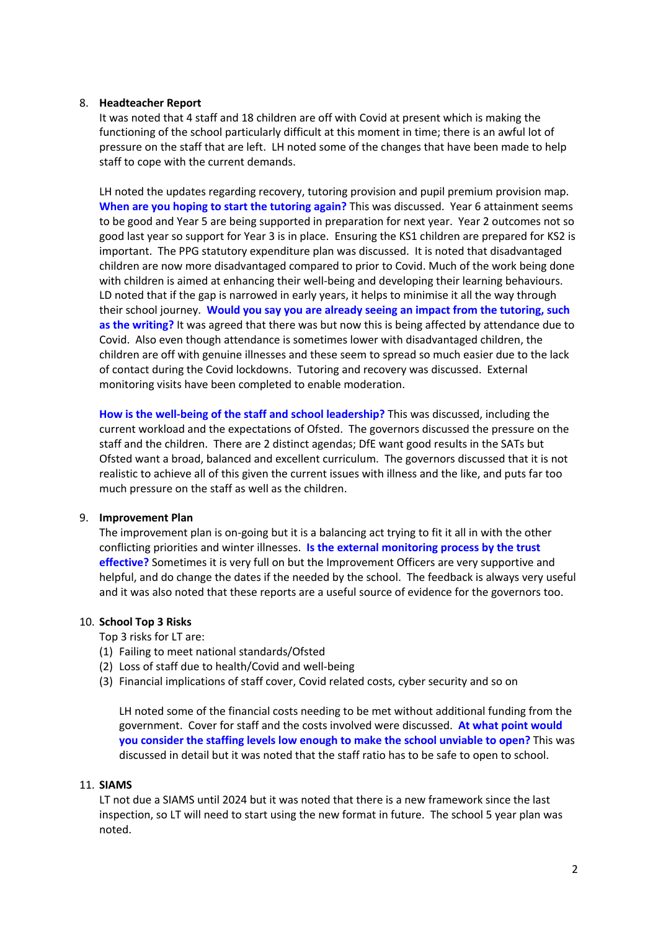## 8. **Headteacher Report**

It was noted that 4 staff and 18 children are off with Covid at present which is making the functioning of the school particularly difficult at this moment in time; there is an awful lot of pressure on the staff that are left. LH noted some of the changes that have been made to help staff to cope with the current demands.

LH noted the updates regarding recovery, tutoring provision and pupil premium provision map. **When are you hoping to start the tutoring again?** This was discussed. Year 6 attainment seems to be good and Year 5 are being supported in preparation for next year. Year 2 outcomes not so good last year so support for Year 3 is in place. Ensuring the KS1 children are prepared for KS2 is important. The PPG statutory expenditure plan was discussed. It is noted that disadvantaged children are now more disadvantaged compared to prior to Covid. Much of the work being done with children is aimed at enhancing their well-being and developing their learning behaviours. LD noted that if the gap is narrowed in early years, it helps to minimise it all the way through their school journey. **Would you say you are already seeing an impact from the tutoring, such as the writing?** It was agreed that there was but now this is being affected by attendance due to Covid. Also even though attendance is sometimes lower with disadvantaged children, the children are off with genuine illnesses and these seem to spread so much easier due to the lack of contact during the Covid lockdowns. Tutoring and recovery was discussed. External monitoring visits have been completed to enable moderation.

**How is the well-being of the staff and school leadership?** This was discussed, including the current workload and the expectations of Ofsted. The governors discussed the pressure on the staff and the children. There are 2 distinct agendas; DfE want good results in the SATs but Ofsted want a broad, balanced and excellent curriculum. The governors discussed that it is not realistic to achieve all of this given the current issues with illness and the like, and puts far too much pressure on the staff as well as the children.

#### 9. **Improvement Plan**

The improvement plan is on-going but it is a balancing act trying to fit it all in with the other conflicting priorities and winter illnesses. **Is the external monitoring process by the trust effective?** Sometimes it is very full on but the Improvement Officers are very supportive and helpful, and do change the dates if the needed by the school. The feedback is always very useful and it was also noted that these reports are a useful source of evidence for the governors too.

#### 10. **School Top 3 Risks**

Top 3 risks for LT are:

- (1) Failing to meet national standards/Ofsted
- (2) Loss of staff due to health/Covid and well-being
- (3) Financial implications of staff cover, Covid related costs, cyber security and so on

LH noted some of the financial costs needing to be met without additional funding from the government. Cover for staff and the costs involved were discussed. **At what point would you consider the staffing levels low enough to make the school unviable to open?** This was discussed in detail but it was noted that the staff ratio has to be safe to open to school.

#### 11. **SIAMS**

LT not due a SIAMS until 2024 but it was noted that there is a new framework since the last inspection, so LT will need to start using the new format in future. The school 5 year plan was noted.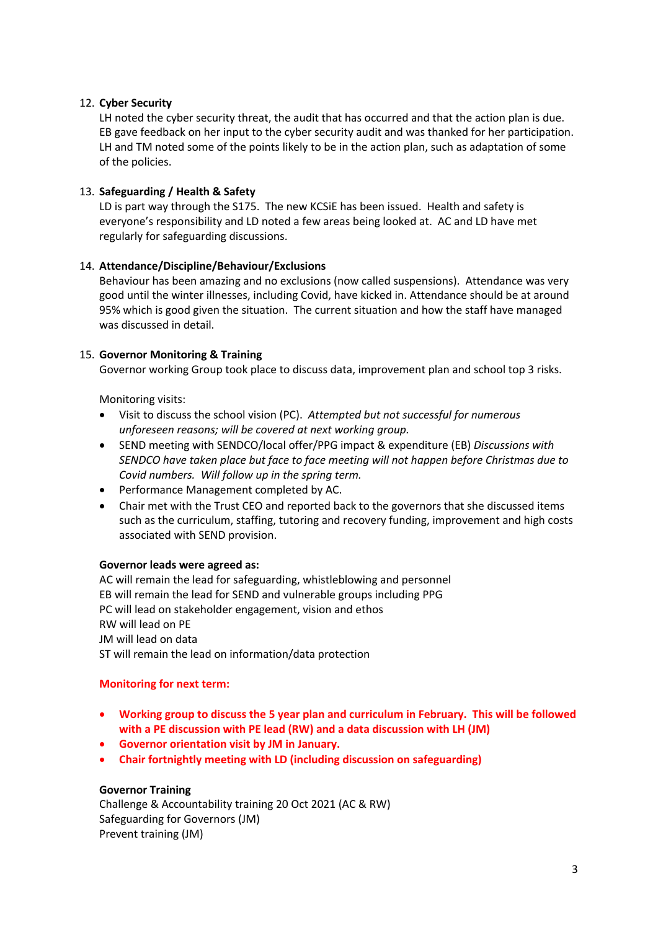## 12. **Cyber Security**

LH noted the cyber security threat, the audit that has occurred and that the action plan is due. EB gave feedback on her input to the cyber security audit and was thanked for her participation. LH and TM noted some of the points likely to be in the action plan, such as adaptation of some of the policies.

## 13. **Safeguarding / Health & Safety**

LD is part way through the S175. The new KCSiE has been issued. Health and safety is everyone's responsibility and LD noted a few areas being looked at. AC and LD have met regularly for safeguarding discussions.

## 14. **Attendance/Discipline/Behaviour/Exclusions**

Behaviour has been amazing and no exclusions (now called suspensions). Attendance was very good until the winter illnesses, including Covid, have kicked in. Attendance should be at around 95% which is good given the situation. The current situation and how the staff have managed was discussed in detail.

## 15. **Governor Monitoring & Training**

Governor working Group took place to discuss data, improvement plan and school top 3 risks.

Monitoring visits:

- Visit to discuss the school vision (PC). *Attempted but not successful for numerous unforeseen reasons; will be covered at next working group.*
- SEND meeting with SENDCO/local offer/PPG impact & expenditure (EB) *Discussions with SENDCO have taken place but face to face meeting will not happen before Christmas due to Covid numbers. Will follow up in the spring term.*
- Performance Management completed by AC.
- Chair met with the Trust CEO and reported back to the governors that she discussed items such as the curriculum, staffing, tutoring and recovery funding, improvement and high costs associated with SEND provision.

## **Governor leads were agreed as:**

AC will remain the lead for safeguarding, whistleblowing and personnel EB will remain the lead for SEND and vulnerable groups including PPG PC will lead on stakeholder engagement, vision and ethos RW will lead on PE JM will lead on data ST will remain the lead on information/data protection

## **Monitoring for next term:**

- **Working group to discuss the 5 year plan and curriculum in February. This will be followed with a PE discussion with PE lead (RW) and a data discussion with LH (JM)**
- **Governor orientation visit by JM in January.**
- **Chair fortnightly meeting with LD (including discussion on safeguarding)**

## **Governor Training**

Challenge & Accountability training 20 Oct 2021 (AC & RW) Safeguarding for Governors (JM) Prevent training (JM)